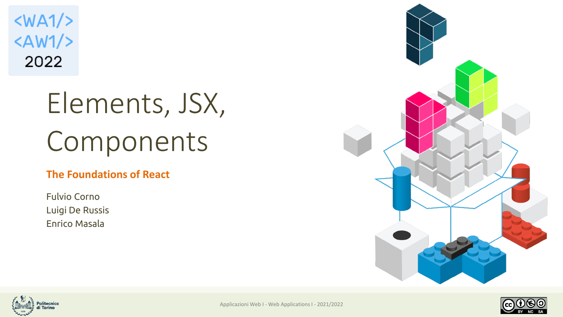$\langle WA1/$  $<$ AW1/> 2022

# Elements, JSX, Components

#### **The Foundations of React**

Fulvio Corno Luigi De Russis Enrico Masala







Applicazioni Web I - Web Applications I - 2021/2022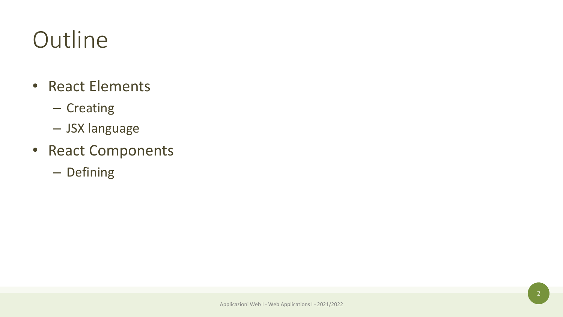### **Outline**

- React Elements
	- Creating
	- JSX language
- React Components
	- Defining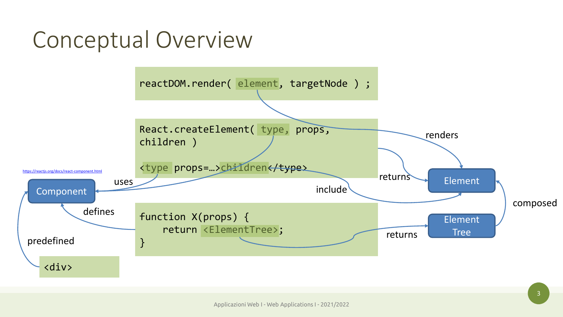### Conceptual Overview

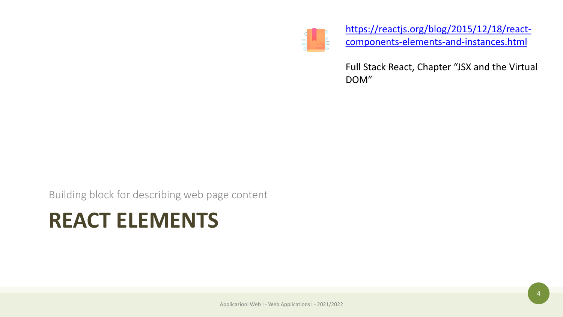

[https://reactjs.org/blog/2015/12/18/react](https://reactjs.org/blog/2015/12/18/react-components-elements-and-instances.html)components-elements-and-instances.html

Full Stack React, Chapter "JSX and the Virtual DOM"

Building block for describing web page content

### **REACT ELEMENTS**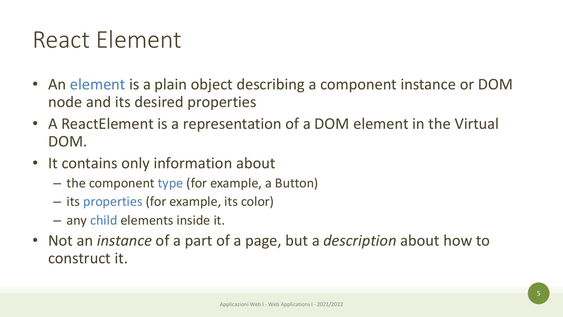### React Element

- An element is a plain object describing a component instance or DOM node and its desired properties
- A ReactElement is a representation of a DOM element in the Virtual DOM.
- It contains only information about
	- the component type (for example, a Button)
	- its properties (for example, its color)
	- any child elements inside it.
- Not an *instance* of a part of a page, but a *description* about how to construct it.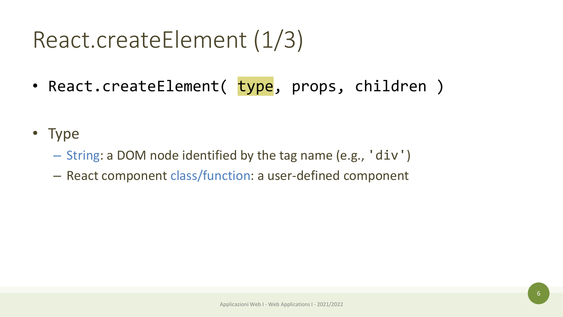### React.createElement (1/3)

- React.createElement( type, props, children )
- Type
	- String: a DOM node identified by the tag name (e.g., 'div')
	- React component class/function: a user-defined component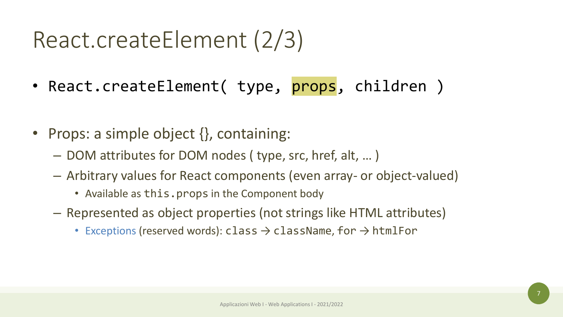### React.createElement (2/3)

- React.createElement( type, props, children )
- Props: a simple object  $\{\}$ , containing:
	- DOM attributes for DOM nodes ( type, src, href, alt, … )
	- Arbitrary values for React components (even array- or object-valued)
		- Available as this.props in the Component body
	- Represented as object properties (not strings like HTML attributes)
		- Exceptions (reserved words): class  $\rightarrow$  className, for  $\rightarrow$  htmlFor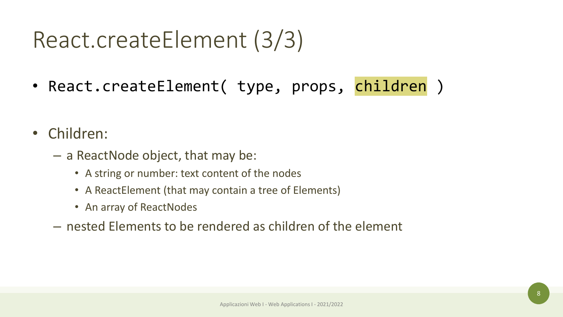### React.createElement (3/3)

- React.createElement( type, props, children )
- Children:
	- a ReactNode object, that may be:
		- A string or number: text content of the nodes
		- A ReactElement (that may contain a tree of Elements)
		- An array of ReactNodes
	- nested Elements to be rendered as children of the element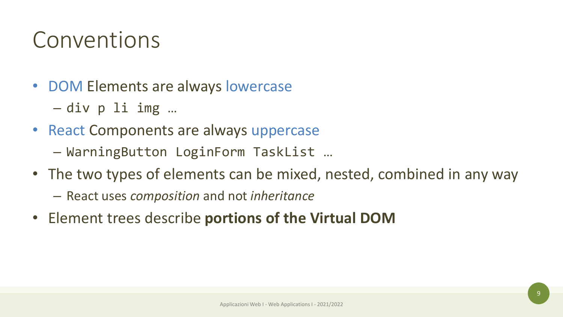### Conventions

- DOM Elements are always lowercase
	- div p li img …
- React Components are always uppercase
	- WarningButton LoginForm TaskList …
- The two types of elements can be mixed, nested, combined in any way
	- React uses *composition* and not *inheritance*
- Element trees describe **portions of the Virtual DOM**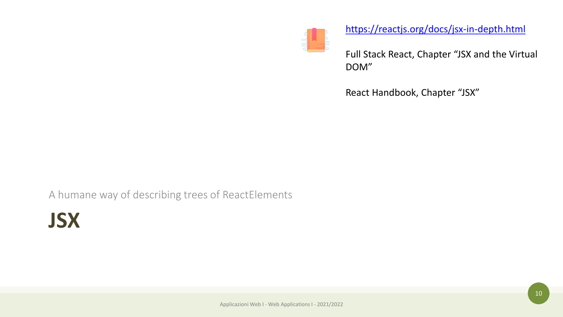

<https://reactjs.org/docs/jsx-in-depth.html>

Full Stack React, Chapter "JSX and the Virtual DOM"

React Handbook, Chapter "JSX"

A humane way of describing trees of ReactElements

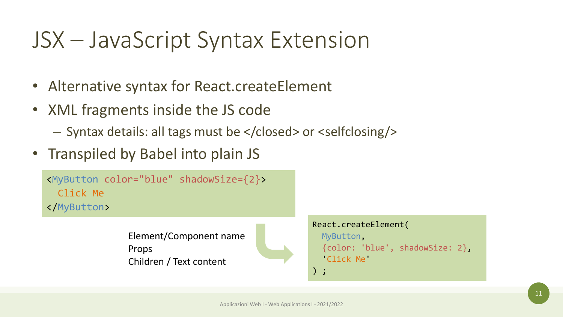### JSX – JavaScript Syntax Extension

- Alternative syntax for React.createElement
- XML fragments inside the JS code
	- Syntax details: all tags must be </closed> or <selfclosing/>
- Transpiled by Babel into plain JS

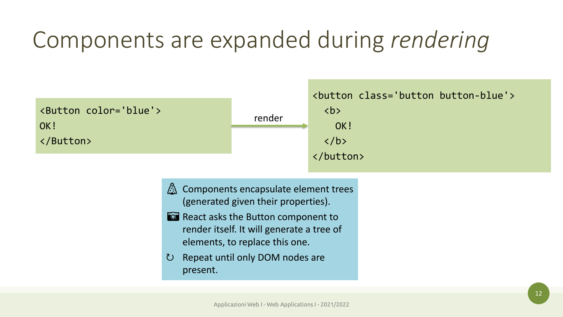### Components are expanded during *rendering*

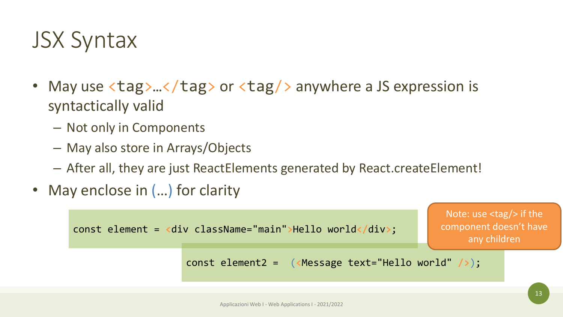### JSX Syntax

- May use  $\langle tag \rangle$ ... $\langle tag \rangle$  or  $\langle tag \rangle$  anywhere a JS expression is syntactically valid
	- Not only in Components
	- May also store in Arrays/Objects
	- After all, they are just ReactElements generated by React.createElement!
- May enclose in (...) for clarity

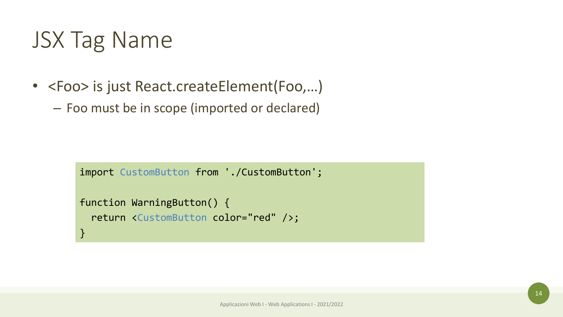### JSX Tag Name

- <Foo> is just React.createElement(Foo,…)
	- Foo must be in scope (imported or declared)

```
import CustomButton from './CustomButton';
function WarningButton() {
 return <CustomButton color="red" />;
}
```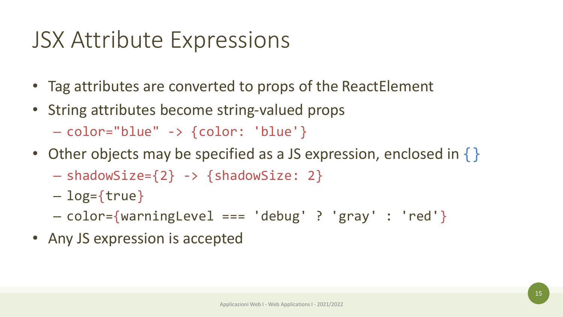### JSX Attribute Expressions

- Tag attributes are converted to props of the ReactElement
- String attributes become string-valued props

– color="blue" -> {color: 'blue'}

- Other objects may be specified as a JS expression, enclosed in  $\{\}$ 
	- $-$  shadowSize= $\{2\}$  ->  $\{shadowsize: 2\}$
	- $-$  log={true}
	- color={warningLevel === 'debug' ? 'gray' : 'red'}
- Any JS expression is accepted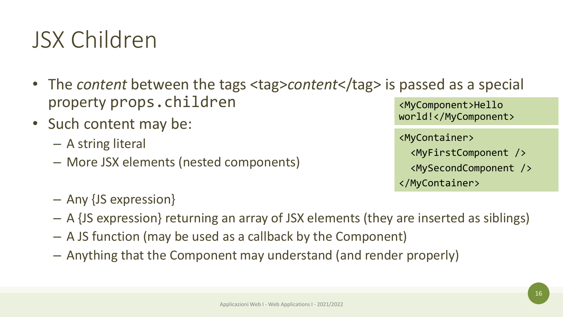### JSX Children

- The *content* between the tags <tag>*content*</tag> is passed as a special property props.children <MyComponent>Hello
- Such content may be:
	- A string literal
	- More JSX elements (nested components)

world!</MyComponent>

<MyContainer> <MyFirstComponent /> <MySecondComponent /> </MyContainer>

- Any {JS expression}
- A {JS expression} returning an array of JSX elements (they are inserted as siblings)
- A JS function (may be used as a callback by the Component)
- Anything that the Component may understand (and render properly)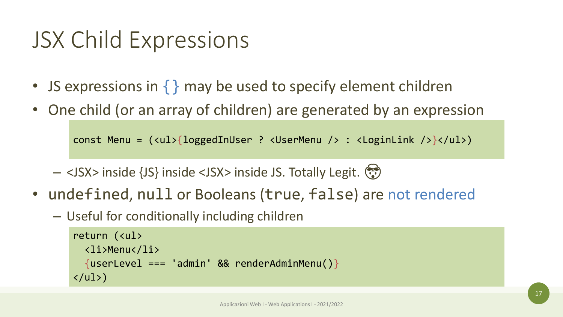### JSX Child Expressions

- JS expressions in  $\{\}$  may be used to specify element children
- One child (or an array of children) are generated by an expression

const Menu = (<ul>{loggedInUser ? <UserMenu /> : <LoginLink />}</ul>)

- <JSX> inside {JS} inside <JSX> inside JS. Totally Legit.
- undefined, null or Booleans (true, false) are not rendered
	- Useful for conditionally including children

```
return (<ul>
  <li>Menu</li>
  \{userLevel == 'admin' & R renderAdminMenu()}
\langle \text{u1}\rangle
```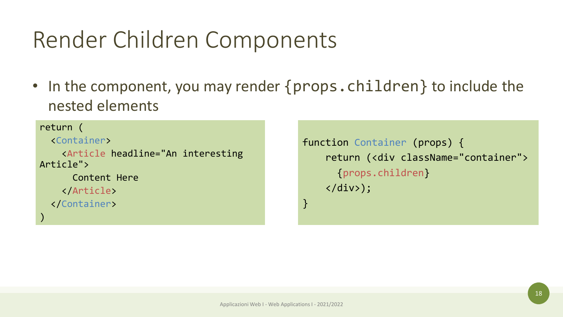### Render Children Components

• In the component, you may render {props.children} to include the nested elements

#### return (

)

```
<Container>
    <Article headline="An interesting 
Article">
      Content Here
    </Article>
```

```
</Container>
```
function Container (props) { return (<div className="container"> {props.children}  $\langle$ /div>);

}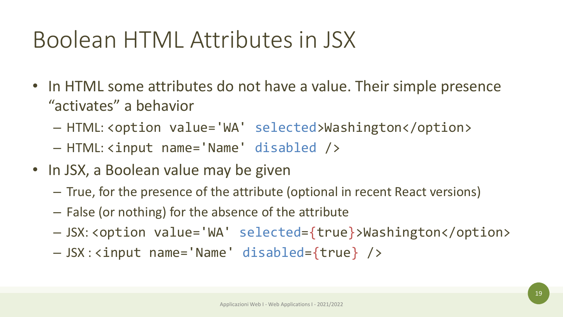### Boolean HTML Attributes in JSX

- In HTML some attributes do not have a value. Their simple presence "activates" a behavior
	- HTML: <option value='WA' selected>Washington</option>
	- HTML: <input name='Name' disabled />
- In JSX, a Boolean value may be given
	- True, for the presence of the attribute (optional in recent React versions)
	- False (or nothing) for the absence of the attribute
	- JSX: <option value='WA' selected={true}>Washington</option>
	- JSX : <input name='Name' disabled={true} />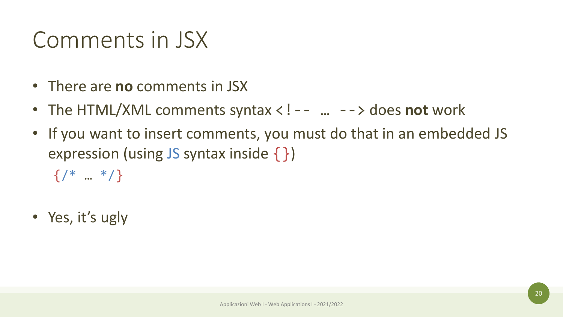### Comments in JSX

- There are **no** comments in JSX
- The HTML/XML comments syntax <!-- ... --> does not work
- If you want to insert comments, you must do that in an embedded JS expression (using JS syntax inside  $\{\}\$ )  $\{/* \dots * /\}$
- Yes, it's ugly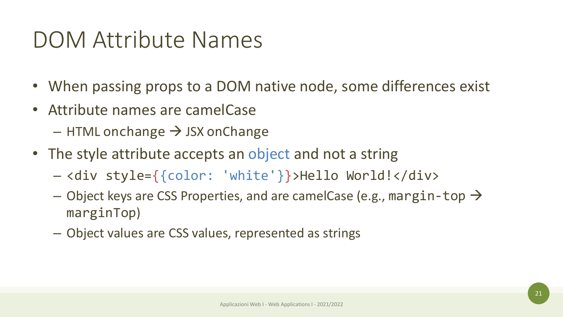### DOM Attribute Names

- When passing props to a DOM native node, some differences exist
- Attribute names are camelCase
	- $-$  HTML onchange  $\rightarrow$  JSX onChange
- The style attribute accepts an object and not a string
	- <div style={{color: 'white'}}>Hello World!</div>
	- $-$  Object keys are CSS Properties, and are camelCase (e.g., margin-top  $\rightarrow$ marginTop)
	- Object values are CSS values, represented as strings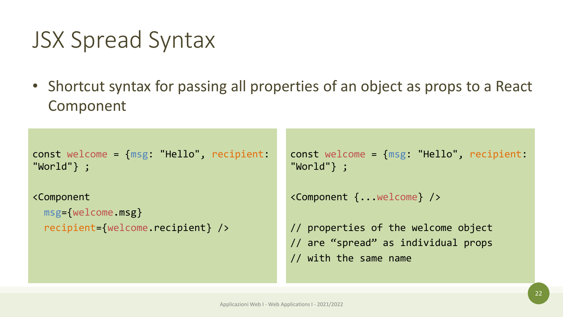### JSX Spread Syntax

• Shortcut syntax for passing all properties of an object as props to a React Component

const welcome = {msg: "Hello", recipient: "World"} ;

```
<Component
 msg={welcome.msg}
  recipient={welcome.recipient} />
```

```
const welcome = {msg: "Hello", recipient: 
"World"} ;
```

```
<Component {...welcome} />
```

```
// properties of the welcome object
// are "spread" as individual props
// with the same name
```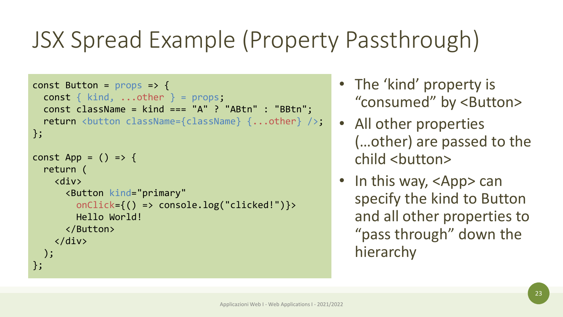### JSX Spread Example (Property Passthrough)

```
const Button = props \Rightarrow {
  const { kind, ...other } = props;
  const className = kind === "A" ? "ABtn" : "BBtn";
  return <br/>button className={className} \{ \ldotsother} />;
};
const App = () => {
  return (
    <div>
      <Button kind="primary" 
        onClick={() => console.log("clicked!")}>
        Hello World!
      </Button>
    </div>
 );
};
```
- The 'kind' property is "consumed" by <Button>
- All other properties (…other) are passed to the child <button>
- In this way, <App> can specify the kind to Button and all other properties to "pass through" down the hierarchy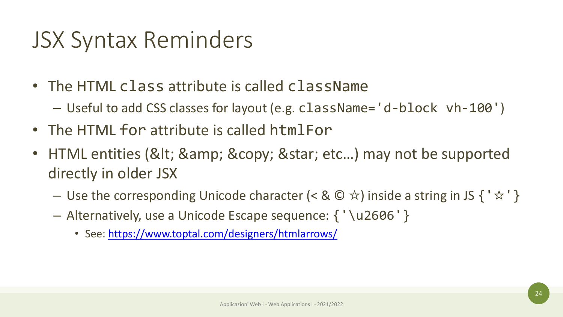### JSX Syntax Reminders

- The HTML class attribute is called className
	- Useful to add CSS classes for layout (e.g. className='d-block vh-100')
- The HTML for attribute is called htmlFor
- HTML entities (&It; & © ☆ etc...) may not be supported directly in older JSX
	- Use the corresponding Unicode character (< &  $\mathbb{C} \times \mathbb{C}$ ) inside a string in JS { ' $\hat{\mathbb{X}}$ ' }
	- Alternatively, use a Unicode Escape sequence: {'\u2606'}
		- See:<https://www.toptal.com/designers/htmlarrows/>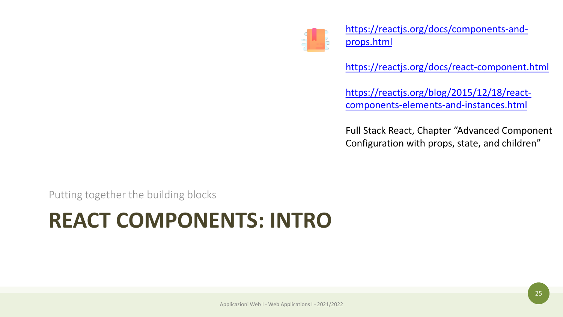

[https://reactjs.org/docs/components-and](https://reactjs.org/docs/components-and-props.html)props.html

<https://reactjs.org/docs/react-component.html>

[https://reactjs.org/blog/2015/12/18/react](https://reactjs.org/blog/2015/12/18/react-components-elements-and-instances.html)components-elements-and-instances.html

Full Stack React, Chapter "Advanced Component Configuration with props, state, and children"

Putting together the building blocks

### **REACT COMPONENTS: INTRO**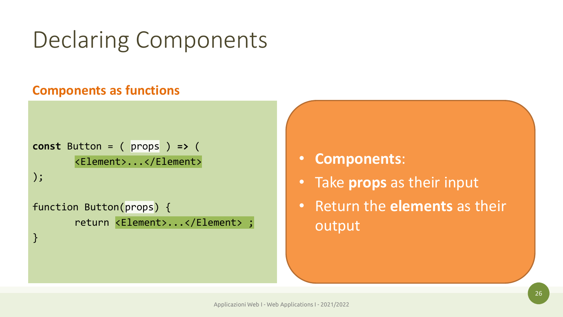### Declaring Components

#### **Components as functions**

```
const Button = ( props ) => (
       <Element>...</Element>
);
```
}

```
function Button(props) {
       return <Element>...</Element> ;
```
- **Components**:
- Take **props** as their input
- Return the **elements** as their output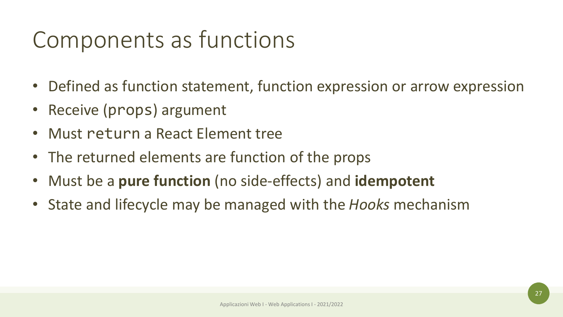### Components as functions

- Defined as function statement, function expression or arrow expression
- Receive (props) argument
- Must return a React Element tree
- The returned elements are function of the props
- Must be a **pure function** (no side-effects) and **idempotent**
- State and lifecycle may be managed with the *Hooks* mechanism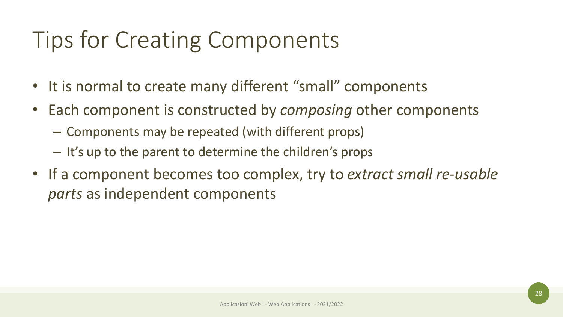### Tips for Creating Components

- It is normal to create many different "small" components
- Each component is constructed by *composing* other components
	- Components may be repeated (with different props)
	- It's up to the parent to determine the children's props
- If a component becomes too complex, try to *extract small re-usable parts* as independent components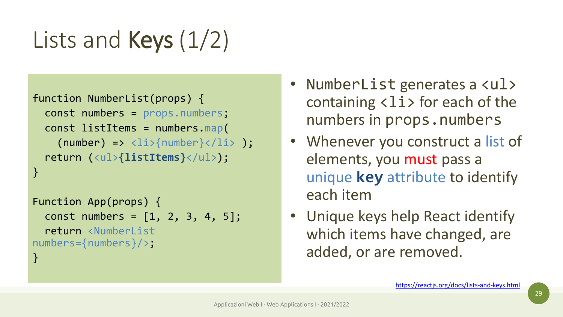# Lists and Keys (1/2)

```
function NumberList(props) {
  const numbers = props.numbers;
  const listItems = numbers.map(
     (number) \Rightarrow \langle li \rangle \{ number\} \langle /li \rangle);
  return (<ul>{listItems}</ul>);
}
```

```
Function App(props) {
  const numbers = [1, 2, 3, 4, 5];
  return <NumberList
numbers={numbers}/>;
}
```
- NumberList generates a <ul> containing  $\langle$ li  $\rangle$  for each of the numbers in props.numbers
- Whenever you construct a list of elements, you must pass a unique **key** attribute to identify each item
- Unique keys help React identify which items have changed, are added, or are removed.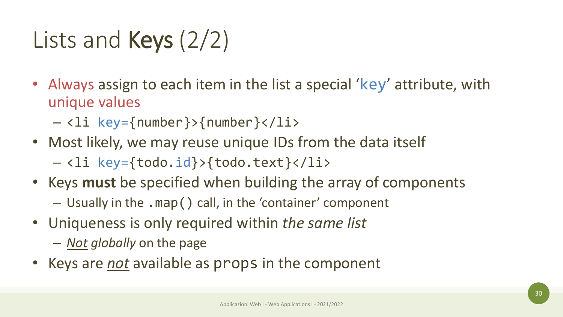## Lists and Keys (2/2)

- Always assign to each item in the list a special 'key' attribute, with unique values
	- <li key={number}>{number}</li>
- Most likely, we may reuse unique IDs from the data itself

– <li key={todo.id}>{todo.text}</li>

- Keys **must** be specified when building the array of components – Usually in the .map() call, in the 'container' component
- Uniqueness is only required within *the same list*
	- *Not globally* on the page
- Keys are *not* available as props in the component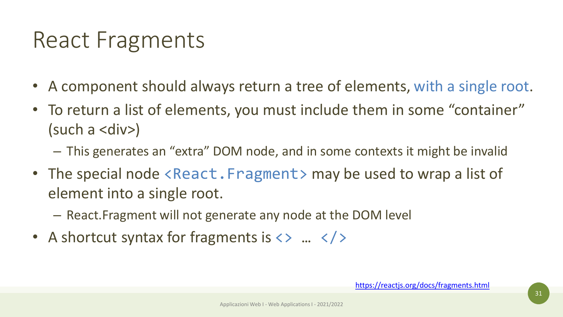### React Fragments

- A component should always return a tree of elements, with a single root.
- To return a list of elements, you must include them in some "container" (such a <div>)
	- This generates an "extra" DOM node, and in some contexts it might be invalid
- The special node <React. Fragment> may be used to wrap a list of element into a single root.
	- React.Fragment will not generate any node at the DOM level
- A shortcut syntax for fragments is  $\langle \rangle$  ...  $\langle \rangle$